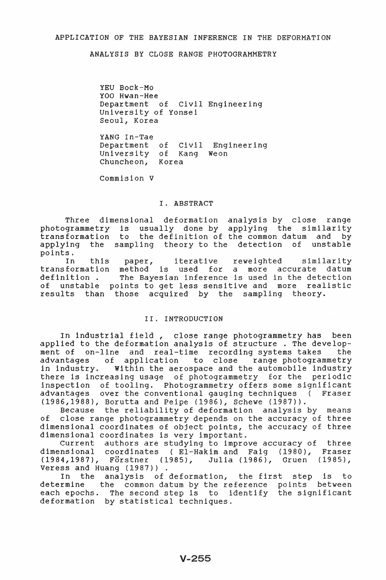# APPLICATION OF THE BAYESIAN INFERENCE IN THE DEFORMATION

ANALYSIS BY CLOSE RANGE PHOTOGRAMMETRY

YEU Bock-Mo YOO Hwan-Hee Department of Civil Engineering University of Yonsei Seoul, Korea

YANG In-Tae Department of Civil Engineering University of Kang Weon Chuncheon, Korea

Commision V

#### I. ABSTRACT

Three dimensional deformation analysis by close range photogrammetry is usually done by applying the similari transformation to the definition of the common datum and by applying the sampling theory to the detection of unstable points.

iterative reweighted In this paper, similarity transformation method is used for a mother is about the more decompany when the defection definition. to get less sensitive and more realistic of unstable points results than those acquired by the sampling theory.

## II. INTRODUCTION

In industrial field, close range photogrammetry has been applied to the deformation analysis of structure . The development of on-line and real-time recording systems takes the<br>advantages of application to close range photogrammetry advantages of application<br>in industry. Within the aer Within the aerospace and the automobile industry there is increasing usage of photogrammetry for the periodic inspection of tooling. Photogrammetry offers some significant advantages over the conventional gauging techniques ( Fraser (1986,1988), Borutta and Peipe (1986), Schewe (1987».

Because the reliability of deformation analysis by means of close range photogrammetry depends on the accuracy of three dimensional coordinates of object points, the accuracy of three dimensional coordinates is very important.

Current authors are studying to improve accuracy of three dimensional coordinates (El-Hakim and Faig (1980), Fraser (1984,1987), Forstner (1985), Julia (1986), Gruen (1985), Veress and Huang (1987)).

In the analysis of deformation, the first step is to determine the common datum by the reference points between the common datum by the reference points between each epochs. The second step is to identify the significant deformation by statistical techniques.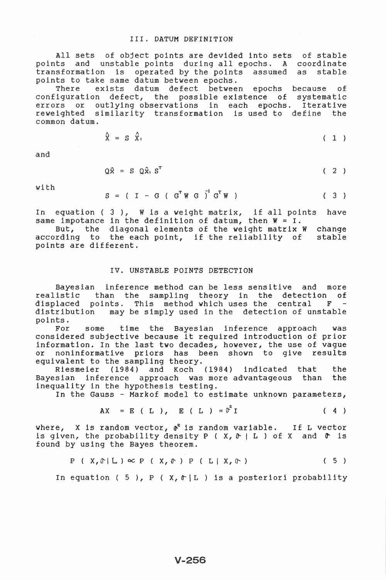### III. DATUM DEFINITION

All sets of object points are devided into sets of stal points and unstable points during all epochs. A formation is operated by the points assu stable points to take same datum between epochs.

e exists datum defect between epochs because of configuration defect, the possible existence of systematic errors or outlying observations in each epochs. Iterative example of coallying executations in each epochs. Itera

$$
\hat{\mathbf{x}} = \mathbf{S} \quad \hat{\mathbf{x}}_1 \tag{1}
$$

and

 $\mathbf{A}$ 

 $\lambda$ 

$$
Q\hat{x} = S Q\hat{x}_1 S^T
$$
 (2)

with

$$
S = (I - G (GT W G)T GT W) \qquad (3)
$$

In equation (3), W is a weight matrix, if all poi have same impotance in the definition of datum, then  $W = I$ .

But, the diagonal elements of the weight matrix W change according to the each point, if the reliability of stable points are different.

#### IV. UNSTABLE POINTS DETECTION

Bayesian inference method can be less sensitive and more than the sampling theory in the detection of displaced points. This method which uses the central F reali distribution points. may be simply used in the detection of unstable

For some time the Bayesian inference approach considered subjective because it required introduction of prior information. In the last two decades, however, the use of vague or noninformative priors has been shown to give results or noninformative priors has b<br>equivalent to the sampling theory. was

Riesmeier (1984) and Koch (1984) indicated that the<br>sian inference approach was-more-advantageous than the Bayesian inference approach was more advantageous than inequality in the hypothesis testing.

In the Gauss - Markof model to estimate unknown parameters,

$$
AX = E (L), E (L) = 02I (4)
$$

where,  $\boldsymbol{x}$  is random vector,  $\boldsymbol{\phi}^2$  is random variable. If L vector where,  $X$  is fandom vector,  $\mathfrak{g}$  is fandom variable. If is vector is given, the probability density P ( $X$ ,  $\mathfrak{g}$  | L) of X and  $\mathfrak{g}$  is found by using the Bayes theorem.

$$
P(X,\bigcap L) \propto P(X,\bigcap P(L|X,\bigcap)) \qquad (5)
$$

In equation ( 5 ), P (  $X$ ,  $\uparrow$  [L ) is a posteriori probability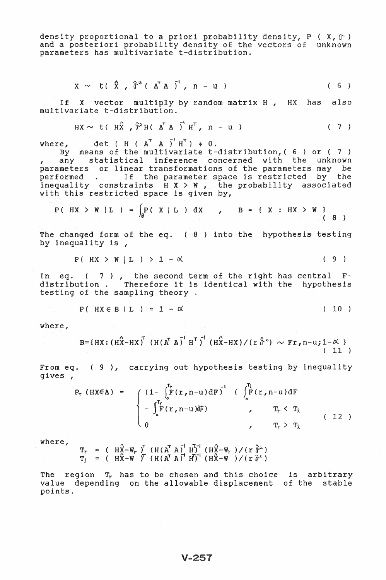density proportional to a priori probability density,  $P(X, \mathbb{T})$ and a posteriori probability density of the vectors of unknown parameters has multivariate t-distribution.

$$
X \sim t(\hat{X}, \hat{\sigma}^z(\overline{A}^T A)^t, n-u) \qquad (6)
$$

If X vector multiply by random matrix H, HX has also multivariate t-distribution.

$$
HX \sim t \left(H\hat{X}, \hat{\sigma}^2 H \left(A^{T} A\right)^{t} H^{T}, n-u \right) \qquad (7)
$$

where, det (  $H$  (  $A^T$   $A$   $J$   $H^T$ )  $\neq$  0.

By means of the multivariate t-distribution,  $(6)$  or  $(7)$ any statistical inference concerned with the unknown parameters or linear transformations of the parameters may be performed . If the parameter space is restricted by the<br>inequality constraints H X > W, the probability associated with this restricted space is given by,

$$
P(HX > W | L) = \int_B P(X | L) dX, \qquad B = \{X : HX > W\}
$$
 (8)

The changed form of the eq. (8) into the hypothesis testing by inequality is,

$$
P(HX > W | L) > 1 - \alpha \qquad (9)
$$

In eq.  $(7)$ , the second term of the right has central F-distribution. Therefore it is identical with the hypothesis testing of the sampling theory.

$$
P(HX \in B | L) = 1 - \alpha
$$
 (10)

where, where the contract of the contract of the contract of the contract of the contract of the contract of the contract of the contract of the contract of the contract of the contract of the contract of the contract of t

B=
$$
{HX: (HX-HX)}^T(H(A^TA)^H^T)^H(HX+HX)/(T\hat{\sigma}^2) \sim Fr, n-u; 1-\alpha}
$$
 (11)

From eq.  $(9)$ , carrying out hypothesis testing by inequality qives,

$$
P_{T} (HX\in A) = \begin{cases} (1-\int_{0}^{T_{F}} F(r, n-u) dF)^{-1} & (\int_{0}^{T_{\xi}} F(r, n-u) dF) \\ -\int_{0}^{T_{F}} F(r, n-u) dF) & , & T_{F} < T_{\xi} \\ 0 & , & T_{F} > T_{\xi} \end{cases}
$$
(12)

where,

 $\begin{array}{lll} \mathbf{T}_r & = & \left( \begin{array}{cc} \text{H} \hat{\text{X}} - \text{W}_r \end{array} \right)^T & \left( \begin{array}{cc} \text{H} \left( \text{A}^T \text{A} \right)^{-1} & \text{H}^T \right)^{-1} & \left( \begin{array}{cc} \text{H} \hat{\text{X}} - \text{W}_r \end{array} \right) \big/ \left( \begin{array}{cc} x & \hat{\delta}^{\geq} \end{array} \right) \\ \mathbf{T}_\chi & = & \left( \begin{array}{cc} \text{H} \hat{\text{X}} - \text{W} & \right)^$ 

The region  $T_r$  has to be chosen and this choice is arbitrary value depending on the allowable displacement of the stable points.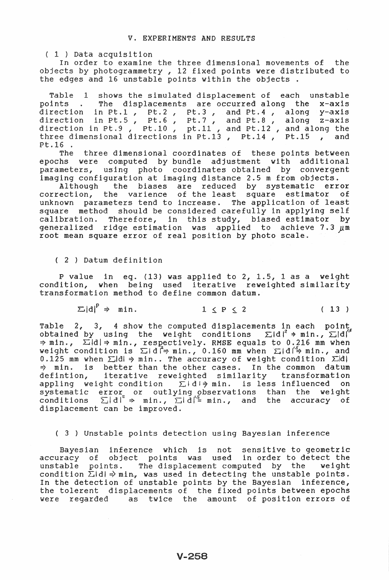( 1 ) Data acquisition

In order to examine the three dimensional movements of the objects by photogrammetry, 12 fixed points were distributed to the edges and 16 unstable points within the objects.

Table 1 shows the simulated displacement of each unstable points . The displacements are occurred along the x-axis points . The displacements are occurred along the x-axis<br>direction in Pt.1, Pt.2, Pt.3, and Pt.4, along y-axis direction in Pt.1 , Pt.2 , Pt.3 , and Pt.4 , along y-axis<br>direction in Pt.5 , Pt.6 , Pt.7 , and Pt.8 , along z-axis direction in Pt.5, Pt.6, Pt.7, and Pt.8, along z-axis<br>direction in Pt.9, Pt.10, pt.11, and Pt.12, and along the ection in Ft.5, Ft.10, pt.11, and Ft.12, and along the<br>ee dimensional directions in Pt.13, Pt.14, Pt.15, and

Pt.16 . The three dimensional coordinates of these points between epochs were computed by bundle adjustment with additional parameters, using photo coordinates obtained by convergent imaging configuration at imaging distance 2.5 m from objects.

Although the biases are reduced by systematic error  $\frac{1}{2}$  correction, the varience of the least square estimator of unknown parameters tend to increase. The application of least square method should be considered carefully in applying self calibration. Therefore, in this study, biased estimator by neralized ridge estimation was applied to achieve 7.3  $\mu$ m root mean square error of real position by photo scale.

(2) Datum definition

P value in eq. (13) was applied to 2, 1.5, 1 as a weight condition, when being used iterative reweighted similarity nsformation method to define common datum.

> $\Sigma |d|^p \Rightarrow min.$  $1 \leq P \leq 2$  ( 13 )

Table 2, 3, 4 show the computed displacements in each point obtained by using the weight conditions  $\Sigma |d|^2 \rightarrow min.$   $\Sigma |d|^2$  $\Rightarrow$  min.,  $\Sigma$ Idl $\Rightarrow$  min., respectively. RMSE equals to 0.216 mm when weight condition is  $\Sigma |d| \Rightarrow min.$ , 0.160 mm when  $\Sigma |d| \Rightarrow min.$ , and 0.125 mm when  $\Sigma$ ld  $\Rightarrow$  min.. The accuracy of weight condition  $\Sigma$ ld  $\Rightarrow$  min... The accuracy of weight condition  $\Sigma$ ld  $\Rightarrow$  min. is better than the other cases. In the common datum defintion, iterative reweighted similarity transformation appling weight condition  $\Sigma$ 1d1 $\Rightarrow$  min. is less influenced on tematic error or outlying observations than the weight itions  $\sum |d|^2 \Rightarrow$  min.,  $\sum |d|^{\frac{15}{2}}$  min., and the accuracy of displacement can be improved.

( 3 ) Unstable points detection using Bayesian inference

Bayesian inference which is not sensitive to geometric accuracy of object points was used in order to detect the unstable points. The displacement computed by the weight condition  $\Sigma$ dl  $\Rightarrow$  min, was used in detecting the unstable points. In the detection of unstable points by the Bayesian inference, the tolerent displacements of the fixed points between epochs were regarded as twice the amount of position errors of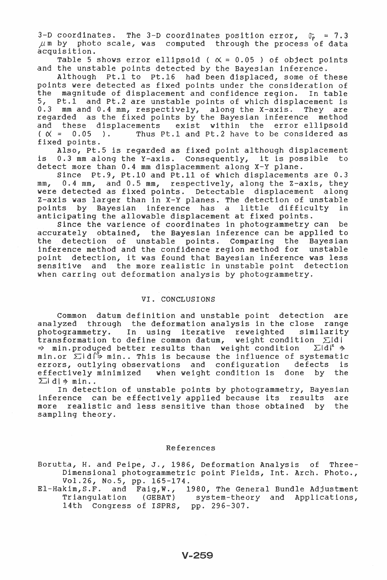3-D coordinates. The 3-D coordinates position error,  $\sigma_p = 7.3$  $\mu$ m by photo scale, was computed through the process of data acquisition.

Table 5 shows error ellipsoid ( $\alpha = 0.05$ ) of object points and the unstable points detected by the Bayesian inference.

Although Pt.1 to Pt.16 had been displaced, some of these points were detected as fixed points under the consideration of the magnitude of displacement and confidence region. In table 5, Pt.1 and Pt.2 are unstable points of which displacement is 0.3 mm and 0.4 mm, respectively, along the X-axis. They are<br>regarded as the fixed points by the Bayesian inference method exist within the error ellipsoid and these displacements Thus Pt.1 and Pt.2 have to be considered as  $(X = 0.05)$ . fixed points.

Also, Pt.5 is regarded as fixed point although displacement is 0.3 mm along the Y-axis. Consequently, it is possible to detect more than 0.4 mm displacemment along X-Y plane.

Since Pt.9, Pt.10 and Pt.11 of which displacements are 0.3 0.4 mm, and 0.5 mm, respectively, along the Z-axis, they  $mm<sub>r</sub>$ were detected as fixed points. Detectable displacement along Z-axis was larger than in X-Y planes. The detection of unstable points by Bayesian inference has a little difficulty in anticipating the allowable displacement at fixed points.

Since the varience of coordinates in photogrammetry can be accurately obtained, the Bayesian inference can be applied to the detection of unstable points. Comparing the Bayesian inference method and the confidence region method for unstable point detection, it was found that Bayesian inference was less sensitive and the more realistic in unstable point detection when carring out deformation analysis by photogrammetry.

### VI. CONCLUSIONS

Common datum definition and unstable point detection are analyzed through the deformation analysis in the close range photogrammetry. In using iterative reweighted similarity<br>transformation to define common datum, weight condition  $\Sigma_d$ d  $\Rightarrow$  min.produced better results than weight condition  $\Sigma |d|^z \Rightarrow$ min.or  $\Sigma$  d' $\frac{1}{2}$  min.. This is because the influence of systematic errors, outlying observations and configuration defects is effectively minimized when weight condition is done by the  $\sum |d| \Rightarrow$  min..

In detection of unstable points by photogrammetry, Bayesian inference can be effectively applied because its results are more realistic and less sensitive than those obtained by the sampling theory.

#### References

Borutta, H. and Peipe, J., 1986, Deformation Analysis of Three-Dimensional photogrammetric point Fields, Int. Arch. Photo., Vol.26, No.5, pp. 165-174.

El-Hakim, S.F. and Faig, W., 1980, The General Bundle Adjustment<br>Triangulation (GEBAT) system-theory and Applications, 14th Congress of ISPRS, pp. 296-307.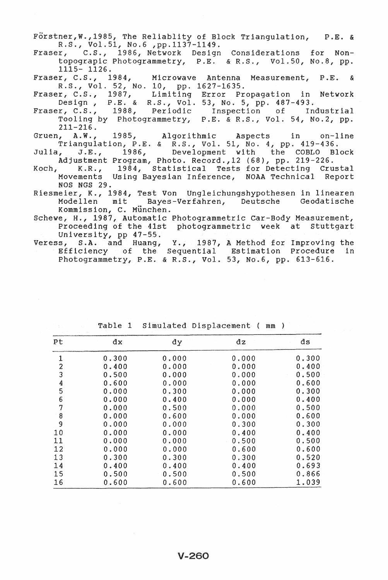Förstner, W., 1985, The Reliablity of Block Triangulation, P.E. & R.S., Vol.51, No.6 ,pp.1137-1149.

Fraser, C.S., 1986, Network Design Considerations for Nontopograpic Photogrammetry, P.E. & R.S., Vol.50, No.8, pp. 1115- 1126.

Fraser, C.S., 1984, Microwave Antenna Measurement, P.E. & R.S., Vol. 52, No. 10, pp. 1627-1635.

Fraser, C.S., 1987, Limiting Error Propagation in Network Design, P.E. & R.S., Vol. 53, No.5, pp. 487-493.

- Fraser, C.S., 1988, Periodic Inspection of Industrial Tooling by Photogrammetry, P.E. & R.S., Vol. 54, No.2, pp.
- $211-216.$ <br>Gruen,  $A.W.$ Gruen, A.W., 1985, Triangulation, P.E. & ithmic Aspects in on-line R.S., Vol. 51, No. 4, pp. 419-436.
- Julia, J.E., 1986, Development with the COBLO Block .<br>Adjustment Program, Photo. Record., 12 (68), pp. 219-226.
- Koch, K.R., 1984, Statistical Tests for Detecting Crustal Movements NOS NGS 29. Using Bayesian Inference, NOAA Technical Report
- Riesmeier, K., 1984, Test Von Ungleichungshypothesen in linearen Modellen mit Bayes-Verfahren, Deutsche Geodatische Kommission, C. München.

Schewe, H., 1987, Automatic Photogrammetric Car-Body Measurement, Proceeding of the 41st photogrammetric week at Stuttgart University, pp 47-55.

Veress, S.A. and Huang, Y., 1987, A Method for Improving the Efficiency of the Sequential Estimation Procedure in Photogrammetry, P.E. & R.S., Vol. 53, No.6, pp. 613-616.

| Pt               | dx    | đу    | dz    | ds    |
|------------------|-------|-------|-------|-------|
| 1                | 0.300 | 0.000 | 0.000 | 0.300 |
| $\overline{c}$   | 0.400 | 0.000 | 0.000 | 0.400 |
| 3                | 0.500 | 0.000 | 0.000 | 0.500 |
| $\boldsymbol{4}$ | 0.600 | 0.000 | 0.000 | 0.600 |
| 5                | 0.000 | 0.300 | 0.000 | 0.300 |
| 6                | 0.000 | 0.400 | 0.000 | 0.400 |
| 7                | 0.000 | 0.500 | 0.000 | 0.500 |
| 8                | 0.000 | 0.600 | 0.000 | 0.600 |
| 9                | 0.000 | 0.000 | 0.300 | 0.300 |
| 10               | 0.000 | 0.000 | 0.400 | 0.400 |
| 11               | 0.000 | 0.000 | 0.500 | 0.500 |
| 12               | 0.000 | 0.000 | 0.600 | 0.600 |
| 13               | 0.300 | 0.300 | 0.300 | 0.520 |
| 14               | 0.400 | 0.400 | 0.400 | 0.693 |
| 15               | 0.500 | 0.500 | 0.500 | 0.866 |
| 16               | 0.600 | 0.600 | 0.600 | 1.039 |

Table 1 Simulated Displacement ( mm )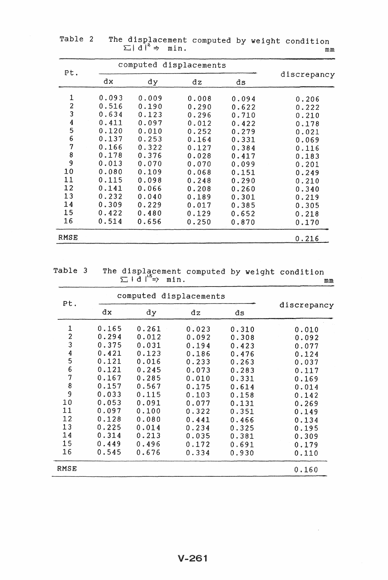| Pt.                     | computed displacements |       |       |       |             |
|-------------------------|------------------------|-------|-------|-------|-------------|
|                         | dx                     | dy    | dz    | ds    | discrepancy |
| 1                       | 0.093                  | 0.009 | 0.008 | 0.094 | 0.206       |
| $\overline{\mathbf{z}}$ | 0.516                  | 0.190 | 0.290 | 0.622 | 0.222       |
| $\overline{3}$          | 0.634                  | 0.123 | 0.296 | 0.710 | 0.210       |
|                         | 0.411                  | 0.097 | 0.012 | 0.422 | 0.178       |
| $\frac{4}{5}$           | 0.120                  | 0.010 | 0.252 | 0.279 | 0.021       |
| 6                       | 0.137                  | 0.253 | 0.164 | 0.331 | 0.069       |
| 7                       | 0.166                  | 0.322 | 0.127 | 0.384 | 0.116       |
| 8                       | 0.178                  | 0.376 | 0.028 | 0.417 | 0.183       |
| 9                       | 0.013                  | 0.070 | 0.070 | 0.099 | 0.201       |
| 10                      | 0.080                  | 0.109 | 0.068 | 0.151 | 0.249       |
| 11                      | 0.115                  | 0.098 | 0.248 | 0.290 | 0.210       |
| 12                      | 0.141                  | 0.066 | 0.208 | 0.260 | 0.340       |
| 13                      | 0.232                  | 0.040 | 0.189 | 0.301 | 0.219       |
| 14                      | 0.309                  | 0.229 | 0.017 | 0.385 | 0.305       |
| 15                      | 0.422                  | 0.480 | 0.129 | 0.652 | 0.218       |
| 16                      | 0.514                  | 0.656 | 0.250 | 0.870 | 0.170       |
| RMSE                    |                        |       |       |       | 0.216       |

Table 2 The displacement computed by weight condition  $\Sigma |d|^2 \Rightarrow$  min. mm

Table 3 The displacement computed by weight condition  $I d \big|_{5\atop 0}$  min. mm

| Pt.              | computed displacements |       |       |       |             |
|------------------|------------------------|-------|-------|-------|-------------|
|                  | dx                     | dу    | dz    | ds    | discrepancy |
| 1                | 0.165                  | 0.261 | 0.023 | 0.310 | 0.010       |
| $\boldsymbol{2}$ | 0.294                  | 0.012 | 0.092 | 0.308 | 0.092       |
| 3                | 0.375                  | 0.031 | 0.194 | 0.423 | 0.077       |
| $\boldsymbol{4}$ | 0.421                  | 0.123 | 0.186 | 0.476 | 0.124       |
| 5                | 0.121                  | 0.016 | 0.233 | 0.263 | 0.037       |
| 6                | 0.121                  | 0.245 | 0.073 | 0.283 | 0.117       |
| 7                | 0.167                  | 0.285 | 0.010 | 0.331 | 0.169       |
| 8                | 0.157                  | 0.567 | 0.175 | 0.614 | 0.014       |
| $\overline{9}$   | 0.033                  | 0.115 | 0.103 | 0.158 | 0.142       |
| 10               | 0.053                  | 0.091 | 0.077 | 0.131 | 0.269       |
| 11               | 0.097                  | 0.100 | 0.322 | 0.351 | 0.149       |
| 12               | 0.128                  | 0.080 | 0.441 | 0.466 | 0.134       |
| 13               | 0.225                  | 0.014 | 0.234 | 0.325 | 0.195       |
| 14               | 0.314                  | 0.213 | 0.035 | 0.381 | 0.309       |
| 15               | 0.449                  | 0.496 | 0.172 | 0.691 | 0.179       |
| 16               | 0.545                  | 0.676 | 0.334 | 0.930 | 0.110       |
| RMSE             |                        |       |       |       | 0.160       |

 $\bar{z}$